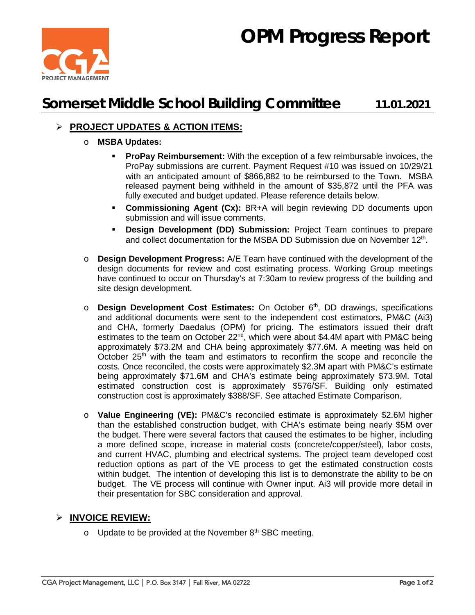# **OPM Progress Report**



## **Somerset Middle School Building Committee 11.01.2021**

### **PROJECT UPDATES & ACTION ITEMS:**

#### o **MSBA Updates:**

- **ProPay Reimbursement:** With the exception of a few reimbursable invoices, the ProPay submissions are current. Payment Request #10 was issued on 10/29/21 with an anticipated amount of \$866,882 to be reimbursed to the Town. MSBA released payment being withheld in the amount of \$35,872 until the PFA was fully executed and budget updated. Please reference details below.
- **Commissioning Agent (Cx):** BR+A will begin reviewing DD documents upon submission and will issue comments.
- **Design Development (DD) Submission:** Project Team continues to prepare and collect documentation for the MSBA DD Submission due on November 12<sup>th</sup>.
- o **Design Development Progress:** A/E Team have continued with the development of the design documents for review and cost estimating process. Working Group meetings have continued to occur on Thursday's at 7:30am to review progress of the building and site design development.
- o **Design Development Cost Estimates:** On October 6<sup>th</sup>, DD drawings, specifications and additional documents were sent to the independent cost estimators, PM&C (Ai3) and CHA, formerly Daedalus (OPM) for pricing. The estimators issued their draft estimates to the team on October 22<sup>nd</sup>, which were about \$4.4M apart with PM&C being approximately \$73.2M and CHA being approximately \$77.6M. A meeting was held on October  $25<sup>th</sup>$  with the team and estimators to reconfirm the scope and reconcile the costs. Once reconciled, the costs were approximately \$2.3M apart with PM&C's estimate being approximately \$71.6M and CHA's estimate being approximately \$73.9M. Total estimated construction cost is approximately \$576/SF. Building only estimated construction cost is approximately \$388/SF. See attached Estimate Comparison.
- o **Value Engineering (VE):** PM&C's reconciled estimate is approximately \$2.6M higher than the established construction budget, with CHA's estimate being nearly \$5M over the budget. There were several factors that caused the estimates to be higher, including a more defined scope, increase in material costs (concrete/copper/steel), labor costs, and current HVAC, plumbing and electrical systems. The project team developed cost reduction options as part of the VE process to get the estimated construction costs within budget. The intention of developing this list is to demonstrate the ability to be on budget. The VE process will continue with Owner input. Ai3 will provide more detail in their presentation for SBC consideration and approval.

#### **INVOICE REVIEW:**

 $\circ$  Update to be provided at the November 8<sup>th</sup> SBC meeting.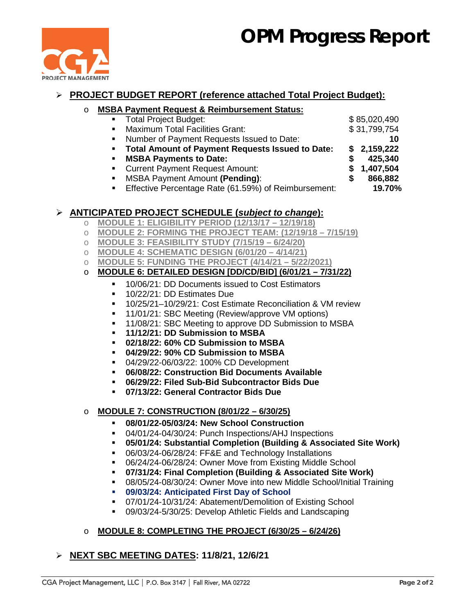# **OPM Progress Report**



### **PROJECT BUDGET REPORT (reference attached Total Project Budget):**

# o **MSBA Payment Request & Reimbursement Status:**

- Total Project Budget:  $$85,020,490$
- **Maximum Total Facilities Grant:** \$ 31,799,754

Number of Payment Requests Issued to Date: **10**

**Total Amount of Payment Requests Issued to Date: \$ 2,159,222**

- 
- **MSBA Payments to Date: \$ 425,340<br>
<b>Example 25.340**<br> **S** 1,407,504 **Current Payment Request Amount: \$**
- 
- MSBA Payment Amount **(Pending)**: **\$ 866,882** Effective Percentage Rate (61.59%) of Reimbursement: **19.70%**

### **ANTICIPATED PROJECT SCHEDULE (***subject to change***):**

- o **MODULE 1: ELIGIBILITY PERIOD (12/13/17 – 12/19/18)**
- o **MODULE 2: FORMING THE PROJECT TEAM: (12/19/18 – 7/15/19)**
- o **MODULE 3: FEASIBILITY STUDY (7/15/19 – 6/24/20)**
- o **MODULE 4: SCHEMATIC DESIGN (6/01/20 – 4/14/21)**
- o **MODULE 5: FUNDING THE PROJECT (4/14/21 – 5/22/2021)**

### o **MODULE 6: DETAILED DESIGN [DD/CD/BID] (6/01/21 – 7/31/22)**

- 10/06/21: DD Documents issued to Cost Estimators
- <sup>1</sup> 10/22/21: DD Estimates Due
- 10/25/21–10/29/21: Cost Estimate Reconciliation & VM review
- **11/01/21: SBC Meeting (Review/approve VM options)**
- **11/08/21: SBC Meeting to approve DD Submission to MSBA**
- **11/12/21: DD Submission to MSBA**
- **02/18/22: 60% CD Submission to MSBA**
- **04/29/22: 90% CD Submission to MSBA**
- 04/29/22-06/03/22: 100% CD Development
- **06/08/22: Construction Bid Documents Available**
- **06/29/22: Filed Sub-Bid Subcontractor Bids Due**
- **07/13/22: General Contractor Bids Due**

### o **MODULE 7: CONSTRUCTION (8/01/22 – 6/30/25)**

- **08/01/22-05/03/24: New School Construction**
- 04/01/24-04/30/24: Punch Inspections/AHJ Inspections
- **05/01/24: Substantial Completion (Building & Associated Site Work)**
- 06/03/24-06/28/24: FF&E and Technology Installations
- 06/24/24-06/28/24: Owner Move from Existing Middle School
- **07/31/24: Final Completion (Building & Associated Site Work)**
- 08/05/24-08/30/24: Owner Move into new Middle School/Initial Training
- **09/03/24: Anticipated First Day of School**
- 07/01/24-10/31/24: Abatement/Demolition of Existing School
- 09/03/24-5/30/25: Develop Athletic Fields and Landscaping
- o **MODULE 8: COMPLETING THE PROJECT (6/30/25 – 6/24/26)**

### **NEXT SBC MEETING DATES: 11/8/21, 12/6/21**